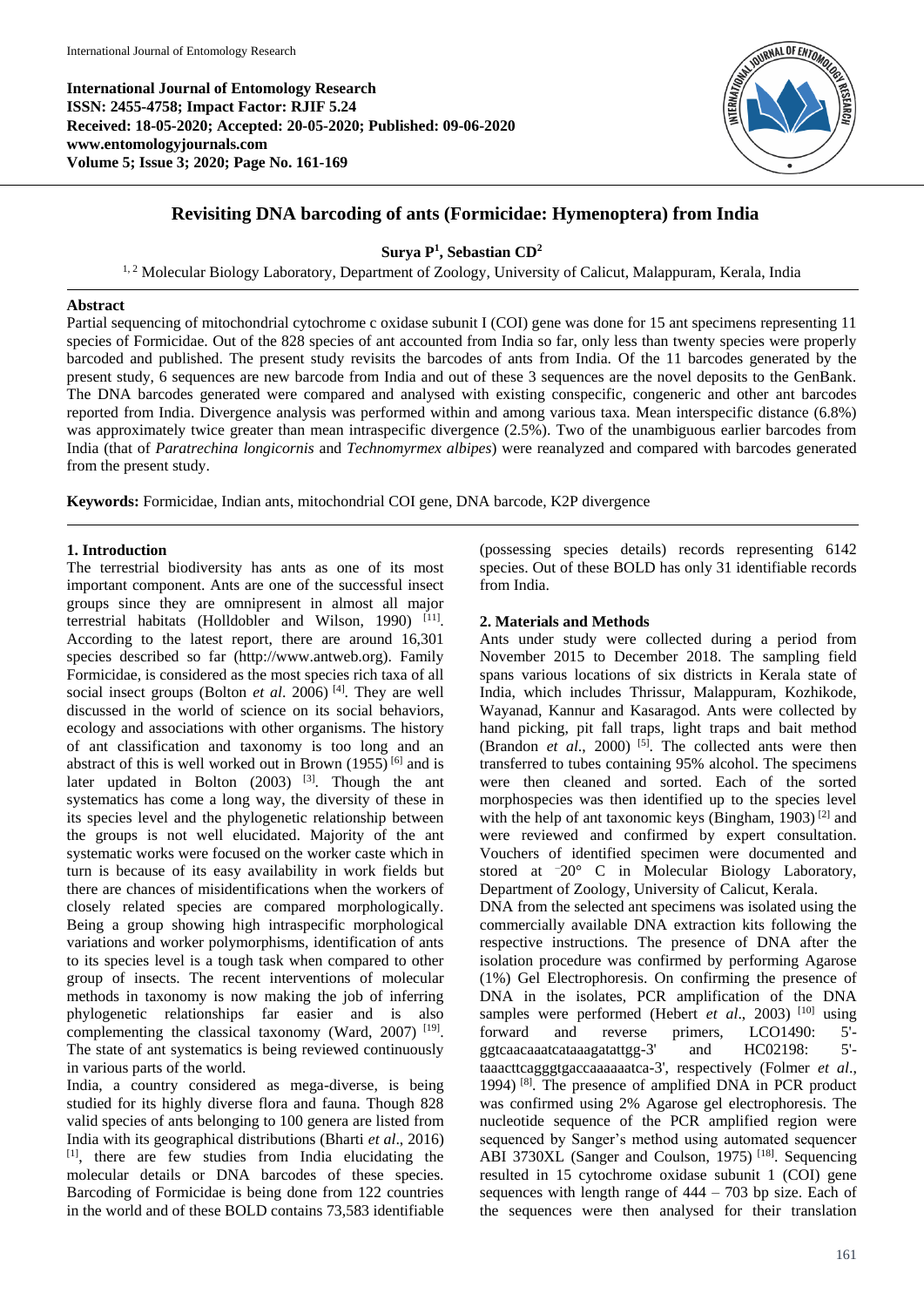**International Journal of Entomology Research ISSN: 2455-4758; Impact Factor: RJIF 5.24 Received: 18-05-2020; Accepted: 20-05-2020; Published: 09-06-2020 www.entomologyjournals.com Volume 5; Issue 3; 2020; Page No. 161-169**



# **Revisiting DNA barcoding of ants (Formicidae: Hymenoptera) from India**

# **Surya P 1 , Sebastian CD<sup>2</sup>**

<sup>1, 2</sup> Molecular Biology Laboratory, Department of Zoology, University of Calicut, Malappuram, Kerala, India

#### **Abstract**

Partial sequencing of mitochondrial cytochrome c oxidase subunit I (COI) gene was done for 15 ant specimens representing 11 species of Formicidae. Out of the 828 species of ant accounted from India so far, only less than twenty species were properly barcoded and published. The present study revisits the barcodes of ants from India. Of the 11 barcodes generated by the present study, 6 sequences are new barcode from India and out of these 3 sequences are the novel deposits to the GenBank. The DNA barcodes generated were compared and analysed with existing conspecific, congeneric and other ant barcodes reported from India. Divergence analysis was performed within and among various taxa. Mean interspecific distance (6.8%) was approximately twice greater than mean intraspecific divergence (2.5%). Two of the unambiguous earlier barcodes from India (that of *Paratrechina longicornis* and *Technomyrmex albipes*) were reanalyzed and compared with barcodes generated from the present study.

**Keywords:** Formicidae, Indian ants, mitochondrial COI gene, DNA barcode, K2P divergence

### **1. Introduction**

The terrestrial biodiversity has ants as one of its most important component. Ants are one of the successful insect groups since they are omnipresent in almost all major terrestrial habitats (Holldobler and Wilson, 1990)<sup>[11]</sup>. According to the latest report, there are around 16,301 species described so far (http://www.antweb.org). Family Formicidae, is considered as the most species rich taxa of all social insect groups (Bolton *et al.* 2006)<sup>[4]</sup>. They are well discussed in the world of science on its social behaviors, ecology and associations with other organisms. The history of ant classification and taxonomy is too long and an abstract of this is well worked out in Brown  $(1955)^{6}$  and is later updated in Bolton  $(2003)$  <sup>[3]</sup>. Though the ant systematics has come a long way, the diversity of these in its species level and the phylogenetic relationship between the groups is not well elucidated. Majority of the ant systematic works were focused on the worker caste which in turn is because of its easy availability in work fields but there are chances of misidentifications when the workers of closely related species are compared morphologically. Being a group showing high intraspecific morphological variations and worker polymorphisms, identification of ants to its species level is a tough task when compared to other group of insects. The recent interventions of molecular methods in taxonomy is now making the job of inferring phylogenetic relationships far easier and is also complementing the classical taxonomy (Ward, 2007)<sup>[19]</sup>. The state of ant systematics is being reviewed continuously in various parts of the world.

India, a country considered as mega-diverse, is being studied for its highly diverse flora and fauna. Though 828 valid species of ants belonging to 100 genera are listed from India with its geographical distributions (Bharti *et al*., 2016) [1], there are few studies from India elucidating the molecular details or DNA barcodes of these species. Barcoding of Formicidae is being done from 122 countries in the world and of these BOLD contains 73,583 identifiable (possessing species details) records representing 6142 species. Out of these BOLD has only 31 identifiable records from India.

### **2. Materials and Methods**

Ants under study were collected during a period from November 2015 to December 2018. The sampling field spans various locations of six districts in Kerala state of India, which includes Thrissur, Malappuram, Kozhikode, Wayanad, Kannur and Kasaragod. Ants were collected by hand picking, pit fall traps, light traps and bait method (Brandon *et al.*, 2000)<sup>[5]</sup>. The collected ants were then transferred to tubes containing 95% alcohol. The specimens were then cleaned and sorted. Each of the sorted morphospecies was then identified up to the species level with the help of ant taxonomic keys (Bingham, 1903)<sup>[2]</sup> and were reviewed and confirmed by expert consultation. Vouchers of identified specimen were documented and stored at <sup>-20°</sup> C in Molecular Biology Laboratory, Department of Zoology, University of Calicut, Kerala. DNA from the selected ant specimens was isolated using the commercially available DNA extraction kits following the respective instructions. The presence of DNA after the isolation procedure was confirmed by performing Agarose (1%) Gel Electrophoresis. On confirming the presence of DNA in the isolates, PCR amplification of the DNA samples were performed (Hebert et al., 2003)<sup>[10]</sup> using forward and reverse primers, LCO1490: 5' ggtcaacaaatcataaagatattgg-3' and HC02198: 5' taaacttcagggtgaccaaaaaatca-3', respectively (Folmer *et al*., 1994) [8] . The presence of amplified DNA in PCR product was confirmed using 2% Agarose gel electrophoresis. The nucleotide sequence of the PCR amplified region were sequenced by Sanger's method using automated sequencer ABI 3730XL (Sanger and Coulson, 1975)<sup>[18]</sup>. Sequencing resulted in 15 cytochrome oxidase subunit 1 (COI) gene sequences with length range of 444 – 703 bp size. Each of the sequences were then analysed for their translation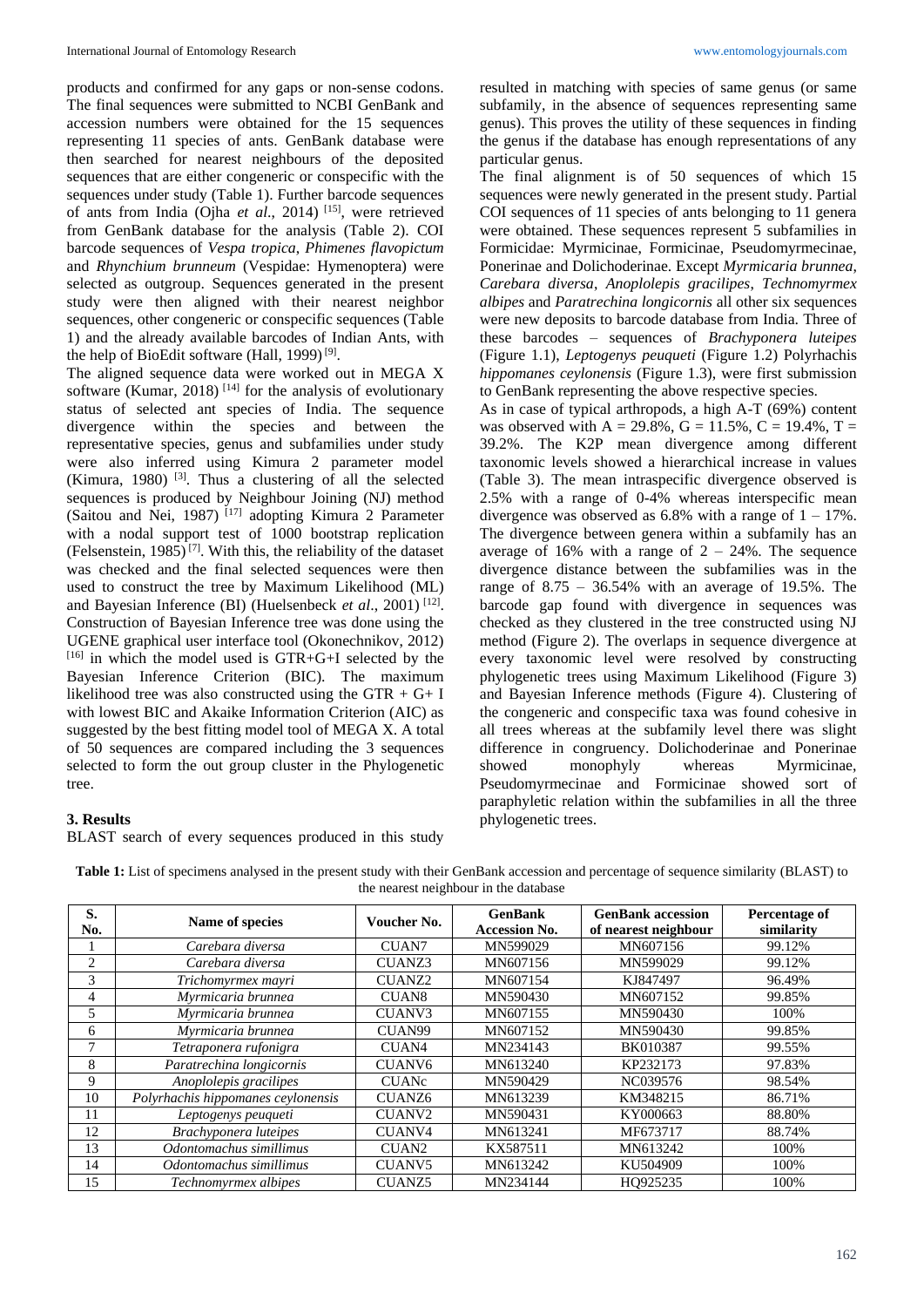products and confirmed for any gaps or non-sense codons. The final sequences were submitted to NCBI GenBank and accession numbers were obtained for the 15 sequences representing 11 species of ants. GenBank database were then searched for nearest neighbours of the deposited sequences that are either congeneric or conspecific with the sequences under study (Table 1). Further barcode sequences of ants from India (Ojha *et al*., 2014) [15] , were retrieved from GenBank database for the analysis (Table 2). COI barcode sequences of *Vespa tropica*, *Phimenes flavopictum* and *Rhynchium brunneum* (Vespidae: Hymenoptera) were selected as outgroup. Sequences generated in the present study were then aligned with their nearest neighbor sequences, other congeneric or conspecific sequences (Table 1) and the already available barcodes of Indian Ants, with the help of BioEdit software (Hall, 1999)<sup>[9]</sup>.

The aligned sequence data were worked out in MEGA X software (Kumar, 2018)<sup>[14]</sup> for the analysis of evolutionary status of selected ant species of India. The sequence divergence within the species and between the representative species, genus and subfamilies under study were also inferred using Kimura 2 parameter model (Kimura, 1980)<sup>[3]</sup>. Thus a clustering of all the selected sequences is produced by Neighbour Joining (NJ) method (Saitou and Nei, 1987)<sup>[17]</sup> adopting Kimura 2 Parameter with a nodal support test of 1000 bootstrap replication (Felsenstein, 1985)<sup>[7]</sup>. With this, the reliability of the dataset was checked and the final selected sequences were then used to construct the tree by Maximum Likelihood (ML) and Bayesian Inference (BI) (Huelsenbeck *et al.*, 2001)<sup>[12]</sup>. Construction of Bayesian Inference tree was done using the UGENE graphical user interface tool (Okonechnikov, 2012) [16] in which the model used is GTR+G+I selected by the Bayesian Inference Criterion (BIC). The maximum likelihood tree was also constructed using the GTR + G+ I with lowest BIC and Akaike Information Criterion (AIC) as suggested by the best fitting model tool of MEGA X. A total of 50 sequences are compared including the 3 sequences selected to form the out group cluster in the Phylogenetic tree.

resulted in matching with species of same genus (or same subfamily, in the absence of sequences representing same genus). This proves the utility of these sequences in finding the genus if the database has enough representations of any particular genus.

The final alignment is of 50 sequences of which 15 sequences were newly generated in the present study. Partial COI sequences of 11 species of ants belonging to 11 genera were obtained. These sequences represent 5 subfamilies in Formicidae: Myrmicinae, Formicinae, Pseudomyrmecinae, Ponerinae and Dolichoderinae. Except *Myrmicaria brunnea*, *Carebara diversa*, *Anoplolepis gracilipes*, *Technomyrmex albipes* and *Paratrechina longicornis* all other six sequences were new deposits to barcode database from India. Three of these barcodes – sequences of *Brachyponera luteipes*  (Figure 1.1), *Leptogenys peuqueti* (Figure 1.2) Polyrhachis *hippomanes ceylonensis* (Figure 1.3), were first submission to GenBank representing the above respective species.

As in case of typical arthropods, a high A-T (69%) content was observed with A = 29.8%, G = 11.5%, C = 19.4%, T = 39.2%. The K2P mean divergence among different taxonomic levels showed a hierarchical increase in values (Table 3). The mean intraspecific divergence observed is 2.5% with a range of 0-4% whereas interspecific mean divergence was observed as  $6.8\%$  with a range of  $1 - 17\%$ . The divergence between genera within a subfamily has an average of 16% with a range of  $2 - 24$ %. The sequence divergence distance between the subfamilies was in the range of  $8.75 - 36.54\%$  with an average of 19.5%. The barcode gap found with divergence in sequences was checked as they clustered in the tree constructed using NJ method (Figure 2). The overlaps in sequence divergence at every taxonomic level were resolved by constructing phylogenetic trees using Maximum Likelihood (Figure 3) and Bayesian Inference methods (Figure 4). Clustering of the congeneric and conspecific taxa was found cohesive in all trees whereas at the subfamily level there was slight difference in congruency. Dolichoderinae and Ponerinae showed monophyly whereas Myrmicinae, Pseudomyrmecinae and Formicinae showed sort of paraphyletic relation within the subfamilies in all the three phylogenetic trees.

#### **3. Results**

BLAST search of every sequences produced in this study

| Table 1: List of specimens analysed in the present study with their GenBank accession and percentage of sequence similarity (BLAST) to |  |  |  |  |  |  |  |  |
|----------------------------------------------------------------------------------------------------------------------------------------|--|--|--|--|--|--|--|--|
| the nearest neighbour in the database                                                                                                  |  |  |  |  |  |  |  |  |

| S.<br>No.      | Name of species                    | Voucher No.        | <b>GenBank</b><br><b>Accession No.</b> | <b>GenBank accession</b><br>of nearest neighbour | Percentage of<br>similarity |
|----------------|------------------------------------|--------------------|----------------------------------------|--------------------------------------------------|-----------------------------|
|                | Carebara diversa                   | CUAN <sub>7</sub>  | MN599029                               | MN607156                                         | 99.12%                      |
| $\overline{c}$ | Carebara diversa                   | CUANZ3             | MN607156                               | MN599029                                         | 99.12%                      |
| 3              | Trichomyrmex mayri                 | <b>CUANZ2</b>      | MN607154                               | KJ847497                                         | 96.49%                      |
| 4              | Myrmicaria brunnea                 | CUAN <sub>8</sub>  | MN590430                               | MN607152                                         | 99.85%                      |
| 5              | Myrmicaria brunnea                 | CUANV <sub>3</sub> | MN607155                               | MN590430                                         | 100%                        |
| 6              | Myrmicaria brunnea                 | CUAN99             | MN607152                               | MN590430                                         | 99.85%                      |
| $\overline{7}$ | Tetraponera rufonigra              | CUAN4              | MN234143                               | BK010387                                         | 99.55%                      |
| 8              | Paratrechina longicornis           | CUANV <sub>6</sub> | MN613240                               | KP232173                                         | 97.83%                      |
| 9              | Anoplolepis gracilipes             | <b>CUANc</b>       | MN590429                               | NC039576                                         | 98.54%                      |
| 10             | Polyrhachis hippomanes ceylonensis | CUANZ <sub>6</sub> | MN613239                               | KM348215                                         | 86.71%                      |
| 11             | Leptogenys peuqueti                | CUANV <sub>2</sub> | MN590431                               | KY000663                                         | 88.80%                      |
| 12             | Brachyponera luteipes              | CUANV <sub>4</sub> | MN613241                               | MF673717                                         | 88.74%                      |
| 13             | Odontomachus simillimus            | CUAN <sub>2</sub>  | KX587511                               | MN613242                                         | 100%                        |
| 14             | Odontomachus simillimus            | CUANV <sub>5</sub> | MN613242                               | KU504909                                         | 100%                        |
| 15             | Technomyrmex albipes               | <b>CUANZ5</b>      | MN234144                               | HO925235                                         | 100%                        |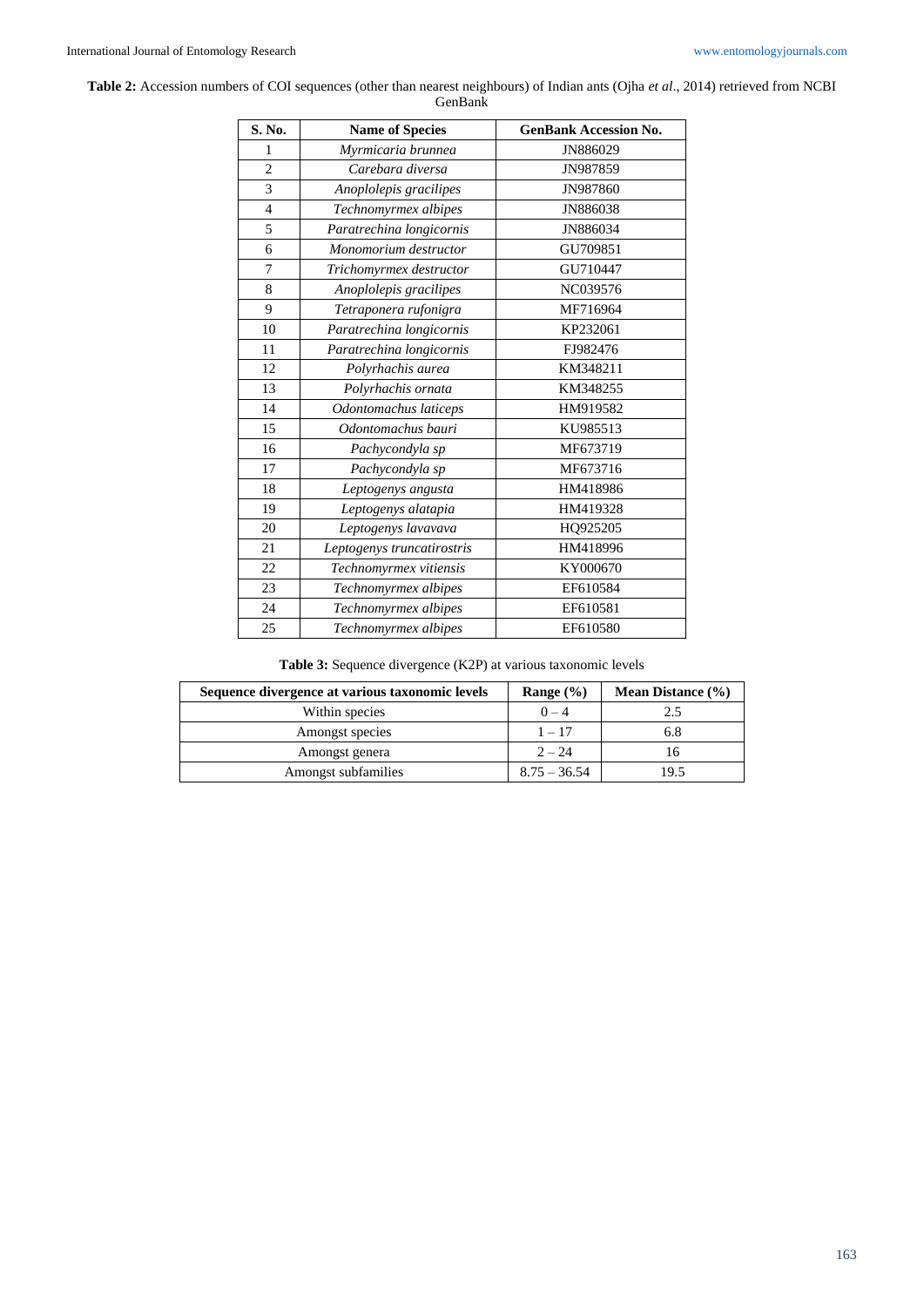**Table 2:** Accession numbers of COI sequences (other than nearest neighbours) of Indian ants (Ojha *et al*., 2014) retrieved from NCBI GenBank

| S. No.         | <b>Name of Species</b>     | <b>GenBank Accession No.</b> |
|----------------|----------------------------|------------------------------|
| 1              | Myrmicaria brunnea         | JN886029                     |
| $\overline{2}$ | Carebara diversa           | JN987859                     |
| 3              | Anoplolepis gracilipes     | JN987860                     |
| $\overline{4}$ | Technomyrmex albipes       | JN886038                     |
| 5              | Paratrechina longicornis   | JN886034                     |
| 6              | Monomorium destructor      | GU709851                     |
| $\overline{7}$ | Trichomyrmex destructor    | GU710447                     |
| 8              | Anoplolepis gracilipes     | NC039576                     |
| 9              | Tetraponera rufonigra      | MF716964                     |
| 10             | Paratrechina longicornis   | KP232061                     |
| 11             | Paratrechina longicornis   | FJ982476                     |
| 12             | Polyrhachis aurea          | KM348211                     |
| 13             | Polyrhachis ornata         | KM348255                     |
| 14             | Odontomachus laticeps      | HM919582                     |
| 15             | Odontomachus bauri         | KU985513                     |
| 16             | Pachycondyla sp            | MF673719                     |
| 17             | Pachycondyla sp            | MF673716                     |
| 18             | Leptogenys angusta         | HM418986                     |
| 19             | Leptogenys alatapia        | HM419328                     |
| 20             | Leptogenys lavavava        | HQ925205                     |
| 21             | Leptogenys truncatirostris | HM418996                     |
| 22             | Technomyrmex vitiensis     | KY000670                     |
| 23             | Technomyrmex albipes       | EF610584                     |
| 24             | Technomyrmex albipes       | EF610581                     |
| 25             | Technomyrmex albipes       | EF610580                     |

| Sequence divergence at various taxonomic levels | Range $(\% )$  | <b>Mean Distance</b> $(\% )$ |
|-------------------------------------------------|----------------|------------------------------|
| Within species                                  | $0 - 4$        | 2.5                          |
| Amongst species                                 | $1 - 17$       | 6.8                          |
| Amongst genera                                  | $2 - 24$       | 16                           |
| Amongst subfamilies                             | $8.75 - 36.54$ | 19.5                         |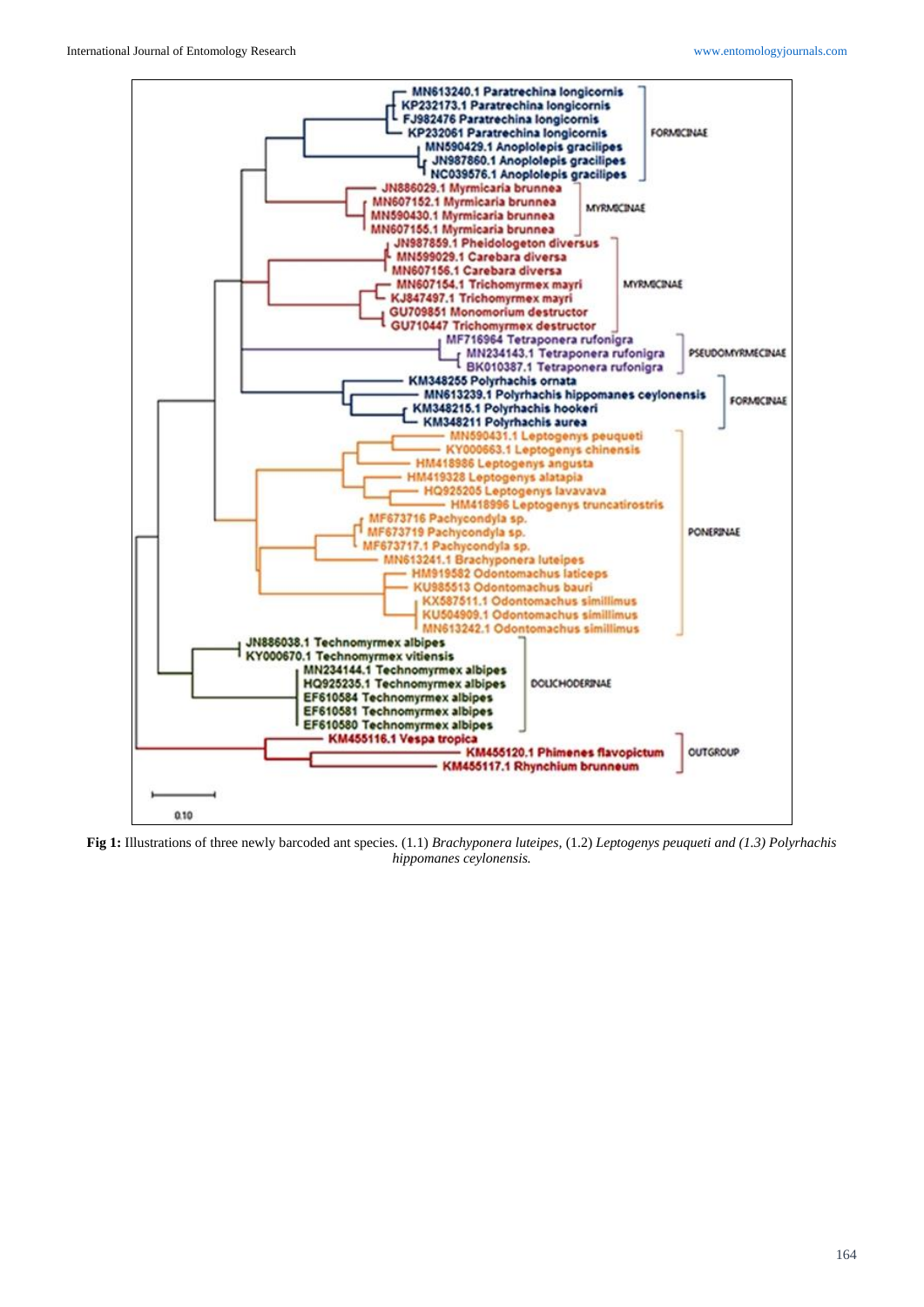

**Fig 1:** Illustrations of three newly barcoded ant species. (1.1) *Brachyponera luteipes,* (1.2) *Leptogenys peuqueti and (1.3) Polyrhachis hippomanes ceylonensis.*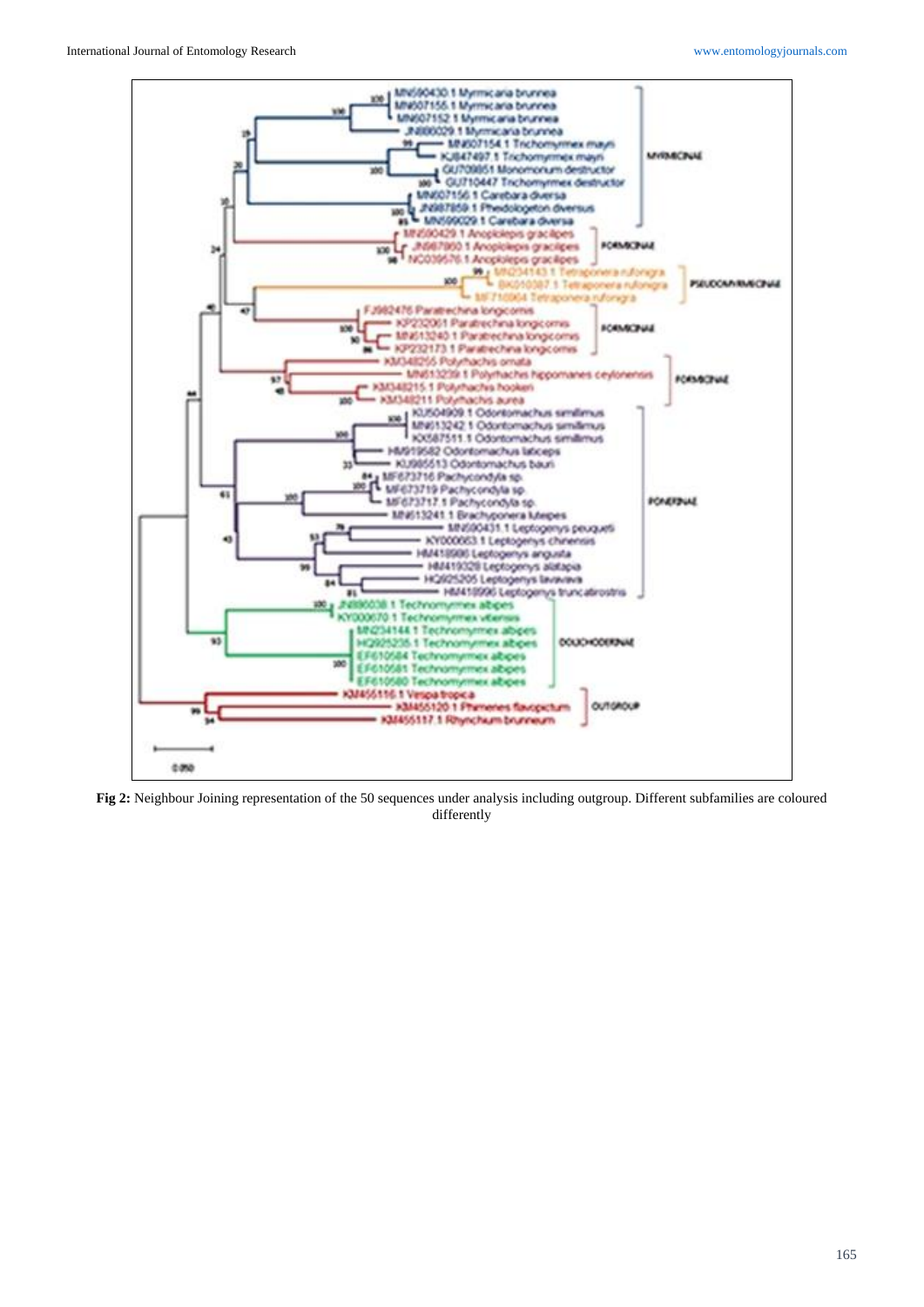

**Fig 2:** Neighbour Joining representation of the 50 sequences under analysis including outgroup. Different subfamilies are coloured differently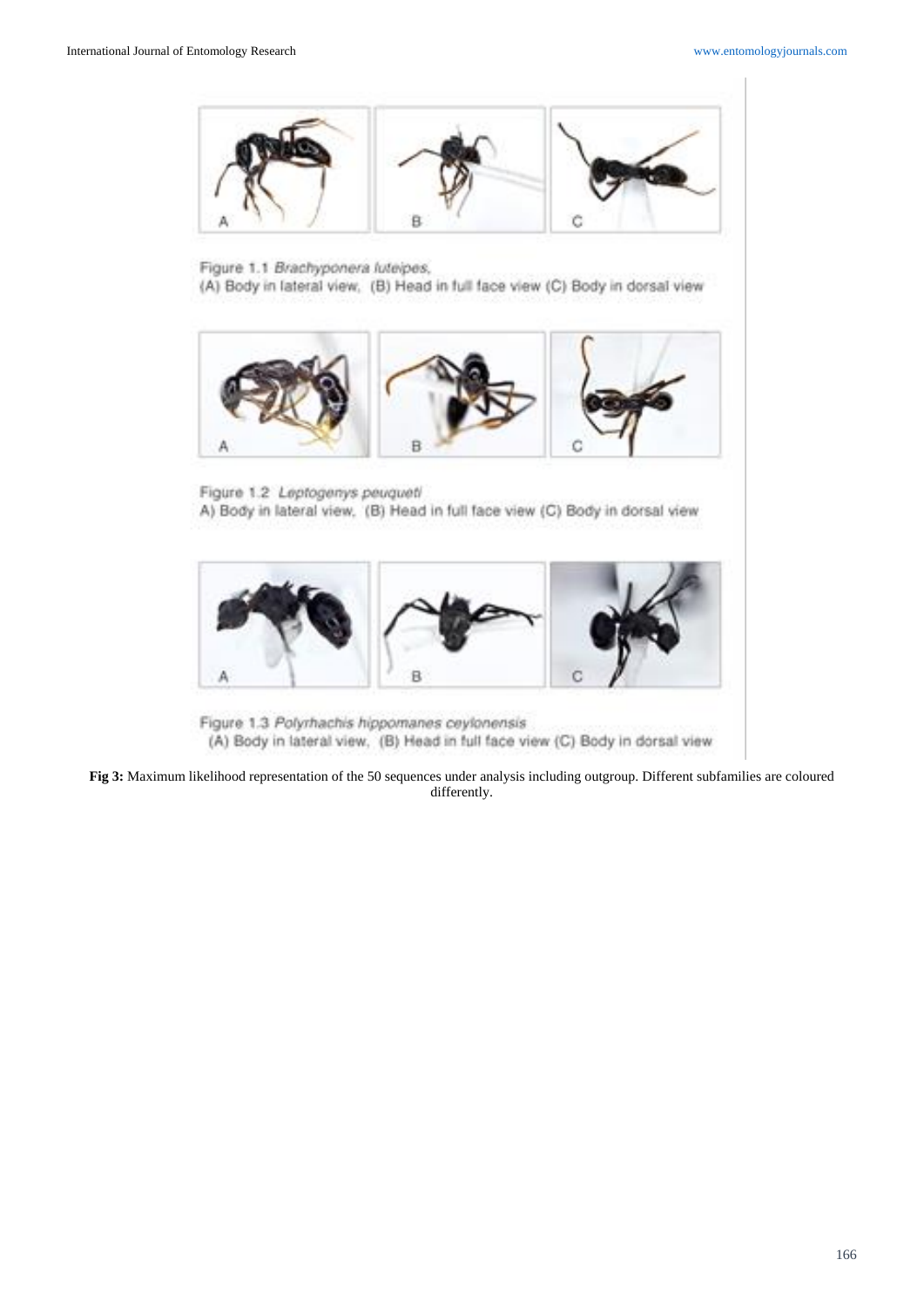

Figure 1.1 Brachyponera luteipes,

(A) Body in lateral view, (B) Head in full face view (C) Body in dorsal view



Figure 1.2 Leptogenys peuqueti A) Body in lateral view, (B) Head in full face view (C) Body in dorsal view



Figure 1.3 Polyrhachis hippomanes ceylonensis (A) Body in lateral view, (B) Head in full face view (C) Body in dorsal view

**Fig 3:** Maximum likelihood representation of the 50 sequences under analysis including outgroup. Different subfamilies are coloured differently.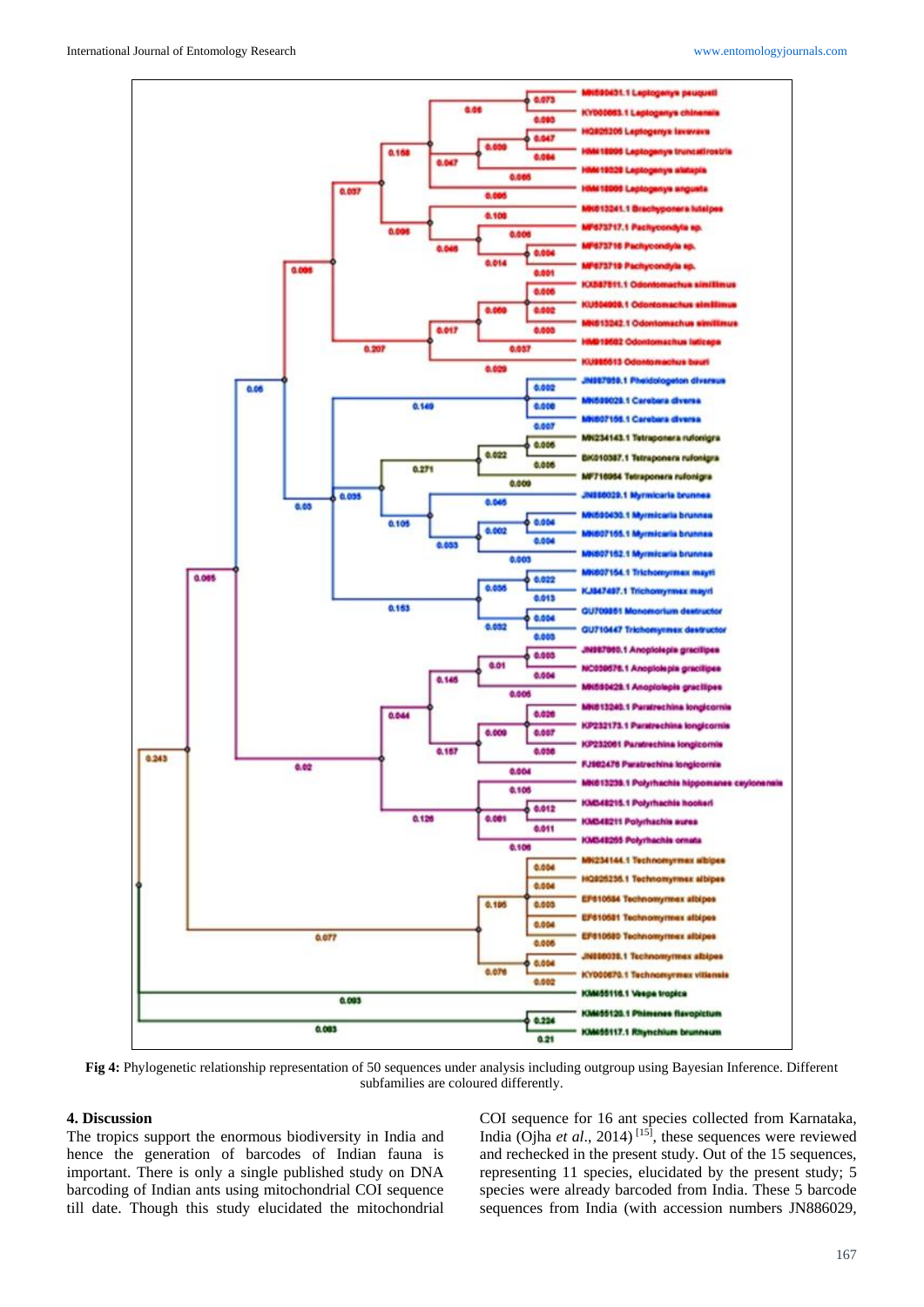

**Fig 4:** Phylogenetic relationship representation of 50 sequences under analysis including outgroup using Bayesian Inference. Different subfamilies are coloured differently.

#### **4. Discussion**

The tropics support the enormous biodiversity in India and hence the generation of barcodes of Indian fauna is important. There is only a single published study on DNA barcoding of Indian ants using mitochondrial COI sequence till date. Though this study elucidated the mitochondrial

COI sequence for 16 ant species collected from Karnataka, India (Ojha *et al*., 2014) [15] , these sequences were reviewed and rechecked in the present study. Out of the 15 sequences, representing 11 species, elucidated by the present study; 5 species were already barcoded from India. These 5 barcode sequences from India (with accession numbers JN886029,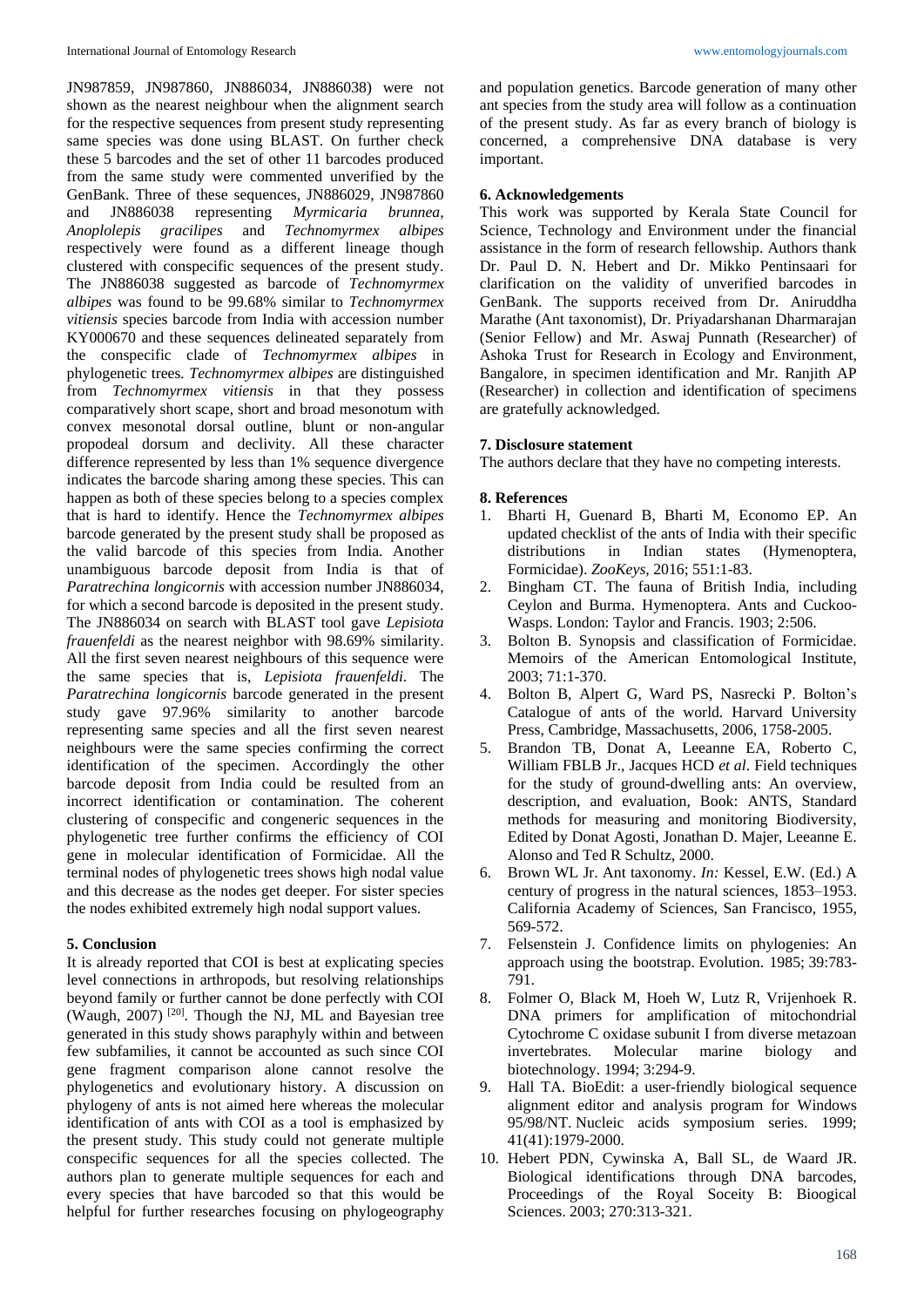JN987859, JN987860, JN886034, JN886038) were not shown as the nearest neighbour when the alignment search for the respective sequences from present study representing same species was done using BLAST. On further check these 5 barcodes and the set of other 11 barcodes produced from the same study were commented unverified by the GenBank. Three of these sequences, JN886029, JN987860 and JN886038 representing *Myrmicaria brunnea*, *Anoplolepis gracilipes* and *Technomyrmex albipes*  respectively were found as a different lineage though clustered with conspecific sequences of the present study. The JN886038 suggested as barcode of *Technomyrmex albipes* was found to be 99.68% similar to *Technomyrmex vitiensis* species barcode from India with accession number KY000670 and these sequences delineated separately from the conspecific clade of *Technomyrmex albipes* in phylogenetic trees*. Technomyrmex albipes* are distinguished from *Technomyrmex vitiensis* in that they possess comparatively short scape, short and broad mesonotum with convex mesonotal dorsal outline, blunt or non-angular propodeal dorsum and declivity. All these character difference represented by less than 1% sequence divergence indicates the barcode sharing among these species. This can happen as both of these species belong to a species complex that is hard to identify. Hence the *Technomyrmex albipes* barcode generated by the present study shall be proposed as the valid barcode of this species from India. Another unambiguous barcode deposit from India is that of *Paratrechina longicornis* with accession number JN886034, for which a second barcode is deposited in the present study. The JN886034 on search with BLAST tool gave *Lepisiota frauenfeldi* as the nearest neighbor with 98.69% similarity. All the first seven nearest neighbours of this sequence were the same species that is, *Lepisiota frauenfeldi*. The *Paratrechina longicornis* barcode generated in the present study gave 97.96% similarity to another barcode representing same species and all the first seven nearest neighbours were the same species confirming the correct identification of the specimen. Accordingly the other barcode deposit from India could be resulted from an incorrect identification or contamination. The coherent clustering of conspecific and congeneric sequences in the phylogenetic tree further confirms the efficiency of COI gene in molecular identification of Formicidae. All the terminal nodes of phylogenetic trees shows high nodal value and this decrease as the nodes get deeper. For sister species the nodes exhibited extremely high nodal support values.

### **5. Conclusion**

It is already reported that COI is best at explicating species level connections in arthropods, but resolving relationships beyond family or further cannot be done perfectly with COI (Waugh, 2007)<sup>[20]</sup>. Though the NJ, ML and Bayesian tree generated in this study shows paraphyly within and between few subfamilies, it cannot be accounted as such since COI gene fragment comparison alone cannot resolve the phylogenetics and evolutionary history. A discussion on phylogeny of ants is not aimed here whereas the molecular identification of ants with COI as a tool is emphasized by the present study. This study could not generate multiple conspecific sequences for all the species collected. The authors plan to generate multiple sequences for each and every species that have barcoded so that this would be helpful for further researches focusing on phylogeography

and population genetics. Barcode generation of many other ant species from the study area will follow as a continuation of the present study. As far as every branch of biology is concerned, a comprehensive DNA database is very important.

# **6. Acknowledgements**

This work was supported by Kerala State Council for Science, Technology and Environment under the financial assistance in the form of research fellowship. Authors thank Dr. Paul D. N. Hebert and Dr. Mikko Pentinsaari for clarification on the validity of unverified barcodes in GenBank. The supports received from Dr. Aniruddha Marathe (Ant taxonomist), Dr. Priyadarshanan Dharmarajan (Senior Fellow) and Mr. Aswaj Punnath (Researcher) of Ashoka Trust for Research in Ecology and Environment, Bangalore, in specimen identification and Mr. Ranjith AP (Researcher) in collection and identification of specimens are gratefully acknowledged.

# **7. Disclosure statement**

The authors declare that they have no competing interests.

### **8. References**

- 1. Bharti H, Guenard B, Bharti M, Economo EP. An updated checklist of the ants of India with their specific distributions in Indian states (Hymenoptera, Formicidae). *ZooKeys*, 2016; 551:1-83.
- 2. Bingham CT. The fauna of British India, including Ceylon and Burma. Hymenoptera. Ants and Cuckoo-Wasps. London: Taylor and Francis. 1903; 2:506.
- 3. Bolton B. Synopsis and classification of Formicidae. Memoirs of the American Entomological Institute, 2003; 71:1-370.
- 4. Bolton B, Alpert G, Ward PS, Nasrecki P. Bolton's Catalogue of ants of the world. Harvard University Press, Cambridge, Massachusetts, 2006, 1758-2005.
- 5. Brandon TB, Donat A, Leeanne EA, Roberto C, William FBLB Jr., Jacques HCD *et al*. Field techniques for the study of ground-dwelling ants: An overview, description, and evaluation, Book: ANTS, Standard methods for measuring and monitoring Biodiversity, Edited by Donat Agosti, Jonathan D. Majer, Leeanne E. Alonso and Ted R Schultz, 2000.
- 6. Brown WL Jr. Ant taxonomy. *In:* Kessel, E.W. (Ed.) A century of progress in the natural sciences, 1853–1953. California Academy of Sciences, San Francisco, 1955, 569-572.
- 7. Felsenstein J. Confidence limits on phylogenies: An approach using the bootstrap. Evolution. 1985; 39:783- 791.
- 8. Folmer O, Black M, Hoeh W, Lutz R, Vrijenhoek R. DNA primers for amplification of mitochondrial Cytochrome C oxidase subunit I from diverse metazoan invertebrates. Molecular marine biology and biotechnology. 1994; 3:294-9.
- 9. Hall TA. BioEdit: a user-friendly biological sequence alignment editor and analysis program for Windows 95/98/NT. Nucleic acids symposium series. 1999; 41(41):1979-2000.
- 10. Hebert PDN, Cywinska A, Ball SL, de Waard JR. Biological identifications through DNA barcodes, Proceedings of the Royal Soceity B: Bioogical Sciences. 2003; 270:313-321.